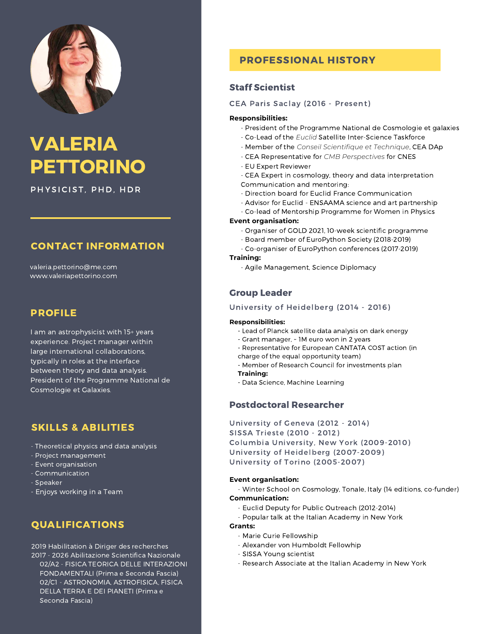

# VALERIA PETTORINO

PHYSICIST, PHD, HDR

# CONTACT INFORMATION

valeria.pettorino@me.com www.valeriapettorino.com

### PROFILE

I am an astrophysicist with 15+ years experience. Project manager within large international collaborations, typically in roles at the interface between theory and data analysis. President of the Programme National de Cosmologie et Galaxies.

# SKILLS & ABILITIES

- Theoretical physics and data analysis
- Project management
- Event organisation
- Communication
- Speaker
- Enjoys working in a Team

# QUALIFICATIONS

2019 Habilitation à Diriger des recherches 2017 - 2026 Abilitazione Scientifica Nazionale 02/A2 - FISICA TEORICA DELLE INTERAZIONI FONDAMENTALI (Prima e Seconda Fascia) 02/C1 - ASTRONOMIA, ASTROFISICA, FISICA DELLA TERRA E DEI PIANETI (Prima e Seconda Fascia)

# PROFESSIONAL HISTORY

### Staff Scientist

CEA Paris Saclay (2016 - Present)

### **Responsibilities:**

- President of the Programme National de Cosmologie et galaxies
- Co-Lead of the *Euclid* Satellite Inter-Science Taskforce
- Member of the *Conseil Scientifique et Technique*, CEA DAp
- CEA Representative for *CMB Perspectives* for CNES
- EU Expert Reviewer
- CEA Expert in cosmology, theory and data interpretation Communication and mentoring:
- Direction board for Euclid France Communication
- Advisor for Euclid ENSAAMA science and art partnership
- Co-lead of Mentorship Programme for Women in Physics

### **Event organisation:**

- Organiser of GOLD 2021, 10-week scientific programme
- Board member of EuroPython Society (2018-2019)
- Co-organiser of EuroPython conferences (2017-2019)

### **Training:**

- Agile Management, Science Diplomacy

### Group Leader

### University of Heidelberg (2014 - 2016)

### **Responsibilities:**

- Lead of Planck satellite data analysis on dark energy
- Grant manager, ~ 1M euro won in 2 years
- Representative for European CANTATA COST action (in
- charge of the equal opportunity team)
- Member of Research Council for investments plan

### **Training:**

- Data Science, Machine Learning

### Postdoctoral Researcher

University of Geneva (2012 - 2014) SISSA Trieste (2010 - 2012) Columbia University, New York (2009-2010) University of Heidelberg (2007-2009) University of Torino (2005-2007)

### **Event organisation:**

- Winter School on Cosmology, Tonale, Italy (14 editions, co-funder)

### **Communication:**

- Euclid Deputy for Public Outreach (2012-2014)
- Popular talk at the Italian Academy in New York

### **Grants:**

- Marie Curie Fellowship
- Alexander von Humboldt Fellowhip
- SISSA Young scientist
- Research Associate at the Italian Academy in New York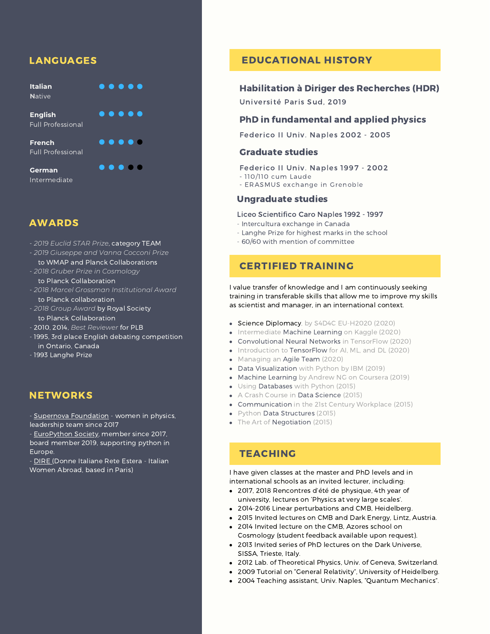# LANGUAGES

**Italian N**ative

 $\bullet$   $\bullet$   $\bullet$   $\bullet$ 

**English** Full Professional

**French** Full Professional

**German** Intermediate  $\bullet\bullet\bullet\bullet\bullet$  $\bullet$   $\bullet$   $\bullet$   $\bullet$ 

 $\bullet\bullet\bullet\bullet\bullet$ 

AWARDS

- *2019 Euclid STAR Prize*, category TEAM
- *2019 Giuseppe and Vanna Cocconi Prize* to WMAP and Planck Collaborations
- *2018 Gruber Prize in Cosmology*
- to Planck Collaboration
- *2018 Marcel Grossman Institutional Award* to Planck collaboration
- *2018 Group Award* by Royal Society to Planck Collaboration
- 2010, 2014, *Best Reviewer* for PLB
- 1995, 3rd place English debating competition in Ontario, Canada
- 1993 Langhe Prize

# **NETWORKS**

- Supernova [Foundation](https://thesupernovafoundation.web.app/) - women in physics, leadership team since 2017

- [EuroPython](https://www.europython-society.org/) Society, member since 2017, board member 2019, supporting python in Europe.

- [DIRE](http://di-re.org/) (Donne Italiane Rete Estera - Italian Women Abroad, based in Paris)

# EDUCATIONAL HISTORY

### Habilitation à Diriger des Recherches (HDR)

Université Paris Sud, 2019

### PhD in fundamental and applied physics

Federico II Univ. Naples 2002 - 2005

### Graduate studies

- Federico II Univ. Naples 1997 2002
- 110/110 cum Laude
- ERASMUS exchange in Grenoble

### Ungraduate studies

### Liceo Scientifico Caro Naples 1992 - 1997

- Intercultura exchange in Canada
- Langhe Prize for highest marks in the school
- 60/60 with mention of committee

# CERTIFIED TRAINING

I value transfer of knowledge and I am continuously seeking training in transferable skills that allow me to improve my skills as scientist and manager, in an international context.

- Science Diplomacy, by S4D4C EU-H2020 (2020)
- Intermediate Machine Learning on Kaggle (2020)
- Convolutional Neural Networks in TensorFlow (2020)
- Introduction to TensorFlow for AI, ML, and DL (2020)
- Managing an Agile Team (2020)
- Data Visualization with Python by IBM (2019)
- Machine Learning by Andrew NG on Coursera (2019)
- Using Databases with Python (2015)
- A Crash Course in Data Science (2015)
- Communication in the 21st Century Workplace (2015)
- Python Data Structures (2015)
- The Art of Negotiation (2015)

# **TEACHING**

I have given classes at the master and PhD levels and in international schools as an invited lecturer, including:

- 2017, 2018 Rencontres d'été de physique, 4th year of university, lectures on 'Physics at very large scales'.
- 2014-2016 Linear perturbations and CMB, Heidelberg.
- 2015 Invited lectures on CMB and Dark Energy, Lintz, Austria.
- 2014 Invited lecture on the CMB, Azores school on Cosmology (student feedback available upon request).
- 2013 Invited series of PhD lectures on the Dark Universe, SISSA, Trieste, Italy.
- 2012 Lab. of Theoretical Physics, Univ. of Geneva, Switzerland.
- 2009 Tutorial on "General Relativity", University of Heidelberg.
- 2004 Teaching assistant, Univ. Naples, "Quantum Mechanics".